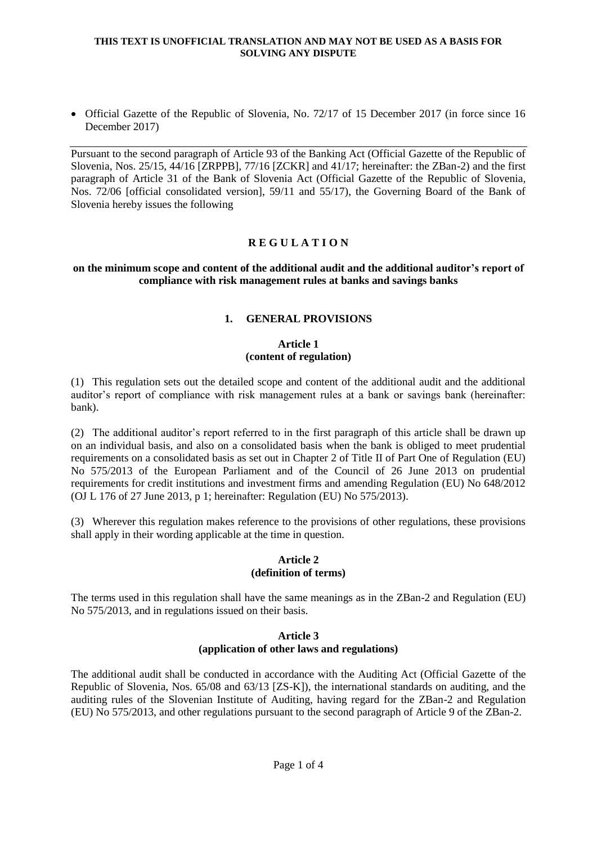• Official Gazette of the Republic of Slovenia, No. 72/17 of 15 December 2017 (in force since 16 December 2017)

Pursuant to the second paragraph of Article 93 of the Banking Act (Official Gazette of the Republic of Slovenia, Nos. 25/15, 44/16 [ZRPPB], 77/16 [ZCKR] and 41/17; hereinafter: the ZBan-2) and the first paragraph of Article 31 of the Bank of Slovenia Act (Official Gazette of the Republic of Slovenia, Nos. 72/06 [official consolidated version], 59/11 and 55/17), the Governing Board of the Bank of Slovenia hereby issues the following

# **R E G U L A T I O N**

## **on the minimum scope and content of the additional audit and the additional auditor's report of compliance with risk management rules at banks and savings banks**

# **1. GENERAL PROVISIONS**

### **Article 1 (content of regulation)**

(1) This regulation sets out the detailed scope and content of the additional audit and the additional auditor's report of compliance with risk management rules at a bank or savings bank (hereinafter: bank).

(2) The additional auditor's report referred to in the first paragraph of this article shall be drawn up on an individual basis, and also on a consolidated basis when the bank is obliged to meet prudential requirements on a consolidated basis as set out in Chapter 2 of Title II of Part One of Regulation (EU) No 575/2013 of the European Parliament and of the Council of 26 June 2013 on prudential requirements for credit institutions and investment firms and amending Regulation (EU) No 648/2012 (OJ L 176 of 27 June 2013, p 1; hereinafter: Regulation (EU) No 575/2013).

(3) Wherever this regulation makes reference to the provisions of other regulations, these provisions shall apply in their wording applicable at the time in question.

### **Article 2 (definition of terms)**

The terms used in this regulation shall have the same meanings as in the ZBan-2 and Regulation (EU) No 575/2013, and in regulations issued on their basis.

## **Article 3 (application of other laws and regulations)**

The additional audit shall be conducted in accordance with the Auditing Act (Official Gazette of the Republic of Slovenia, Nos. 65/08 and 63/13 [ZS-K]), the international standards on auditing, and the auditing rules of the Slovenian Institute of Auditing, having regard for the ZBan-2 and Regulation (EU) No 575/2013, and other regulations pursuant to the second paragraph of Article 9 of the ZBan-2.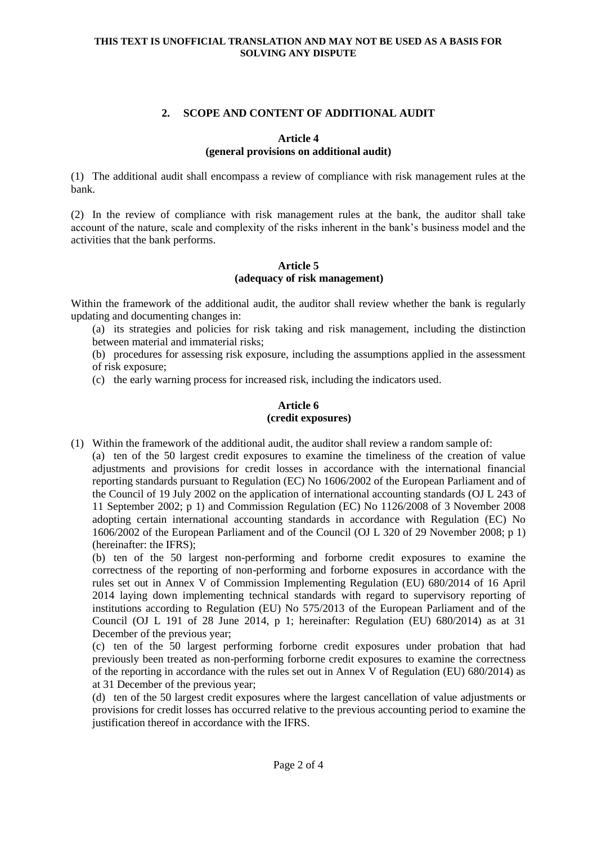# **2. SCOPE AND CONTENT OF ADDITIONAL AUDIT**

## **Article 4 (general provisions on additional audit)**

(1) The additional audit shall encompass a review of compliance with risk management rules at the bank.

(2) In the review of compliance with risk management rules at the bank, the auditor shall take account of the nature, scale and complexity of the risks inherent in the bank's business model and the activities that the bank performs.

## **Article 5 (adequacy of risk management)**

Within the framework of the additional audit, the auditor shall review whether the bank is regularly updating and documenting changes in:

(a) its strategies and policies for risk taking and risk management, including the distinction between material and immaterial risks;

(b) procedures for assessing risk exposure, including the assumptions applied in the assessment of risk exposure;

(c) the early warning process for increased risk, including the indicators used.

## **Article 6 (credit exposures)**

(1) Within the framework of the additional audit, the auditor shall review a random sample of:

(a) ten of the 50 largest credit exposures to examine the timeliness of the creation of value adjustments and provisions for credit losses in accordance with the international financial reporting standards pursuant to Regulation (EC) No 1606/2002 of the European Parliament and of the Council of 19 July 2002 on the application of international accounting standards (OJ L 243 of 11 September 2002; p 1) and Commission Regulation (EC) No 1126/2008 of 3 November 2008 adopting certain international accounting standards in accordance with Regulation (EC) No 1606/2002 of the European Parliament and of the Council (OJ L 320 of 29 November 2008; p 1) (hereinafter: the IFRS);

(b) ten of the 50 largest non-performing and forborne credit exposures to examine the correctness of the reporting of non-performing and forborne exposures in accordance with the rules set out in Annex V of Commission Implementing Regulation (EU) 680/2014 of 16 April 2014 laying down implementing technical standards with regard to supervisory reporting of institutions according to Regulation (EU) No 575/2013 of the European Parliament and of the Council (OJ L 191 of 28 June 2014, p 1; hereinafter: Regulation (EU) 680/2014) as at 31 December of the previous year;

(c) ten of the 50 largest performing forborne credit exposures under probation that had previously been treated as non-performing forborne credit exposures to examine the correctness of the reporting in accordance with the rules set out in Annex V of Regulation (EU) 680/2014) as at 31 December of the previous year;

(d) ten of the 50 largest credit exposures where the largest cancellation of value adjustments or provisions for credit losses has occurred relative to the previous accounting period to examine the justification thereof in accordance with the IFRS.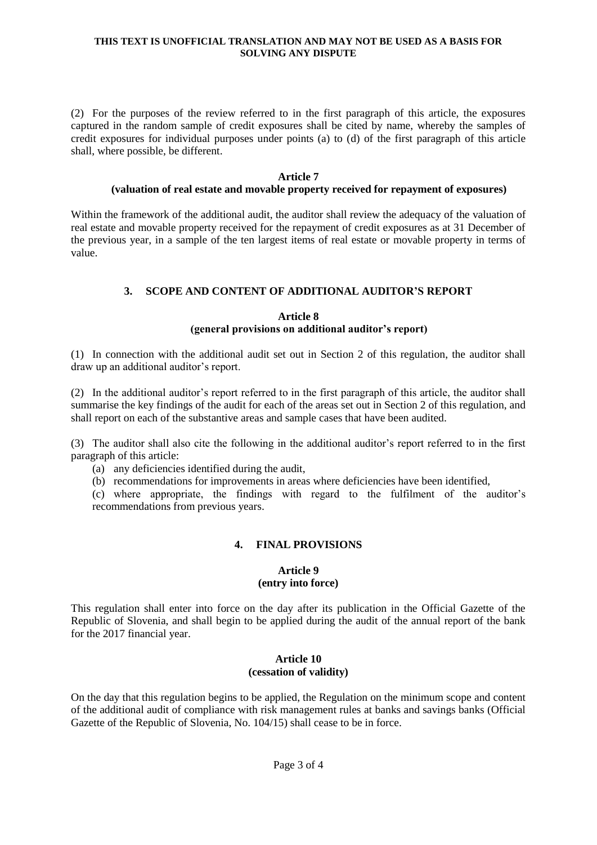(2) For the purposes of the review referred to in the first paragraph of this article, the exposures captured in the random sample of credit exposures shall be cited by name, whereby the samples of credit exposures for individual purposes under points (a) to (d) of the first paragraph of this article shall, where possible, be different.

#### **Article 7**

## **(valuation of real estate and movable property received for repayment of exposures)**

Within the framework of the additional audit, the auditor shall review the adequacy of the valuation of real estate and movable property received for the repayment of credit exposures as at 31 December of the previous year, in a sample of the ten largest items of real estate or movable property in terms of value.

# **3. SCOPE AND CONTENT OF ADDITIONAL AUDITOR'S REPORT**

#### **Article 8 (general provisions on additional auditor's report)**

(1) In connection with the additional audit set out in Section 2 of this regulation, the auditor shall draw up an additional auditor's report.

(2) In the additional auditor's report referred to in the first paragraph of this article, the auditor shall summarise the key findings of the audit for each of the areas set out in Section 2 of this regulation, and shall report on each of the substantive areas and sample cases that have been audited.

(3) The auditor shall also cite the following in the additional auditor's report referred to in the first paragraph of this article:

(a) any deficiencies identified during the audit,

(b) recommendations for improvements in areas where deficiencies have been identified,

(c) where appropriate, the findings with regard to the fulfilment of the auditor's recommendations from previous years.

## **4. FINAL PROVISIONS**

### **Article 9 (entry into force)**

This regulation shall enter into force on the day after its publication in the Official Gazette of the Republic of Slovenia, and shall begin to be applied during the audit of the annual report of the bank for the 2017 financial year.

#### **Article 10 (cessation of validity)**

On the day that this regulation begins to be applied, the Regulation on the minimum scope and content of the additional audit of compliance with risk management rules at banks and savings banks (Official Gazette of the Republic of Slovenia, No. 104/15) shall cease to be in force.